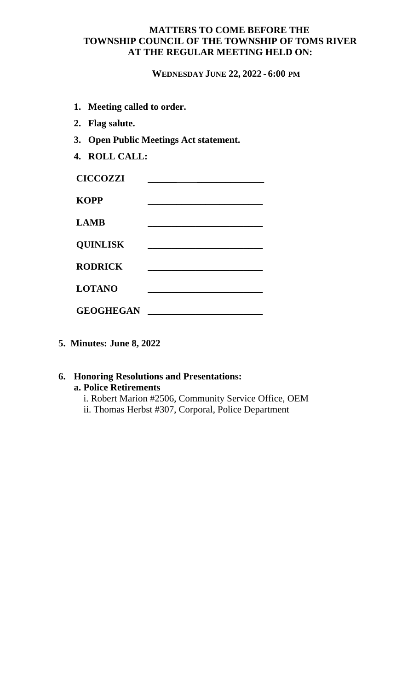## **MATTERS TO COME BEFORE THE TOWNSHIP COUNCIL OF THE TOWNSHIP OF TOMS RIVER AT THE REGULAR MEETING HELD ON:**

**WEDNESDAY JUNE 22, 2022 - 6:00 PM**

- **1. Meeting called to order.**
- **2. Flag salute.**
- **3. Open Public Meetings Act statement.**
- **4. ROLL CALL:**

| <b>CICCOZZI</b>  |  |
|------------------|--|
| <b>KOPP</b>      |  |
| <b>LAMB</b>      |  |
| <b>QUINLISK</b>  |  |
| <b>RODRICK</b>   |  |
| <b>LOTANO</b>    |  |
| <b>GEOGHEGAN</b> |  |

**5. Minutes: June 8, 2022**

## **6. Honoring Resolutions and Presentations: a. Police Retirements**

i. Robert Marion #2506, Community Service Office, OEM ii. Thomas Herbst #307, Corporal, Police Department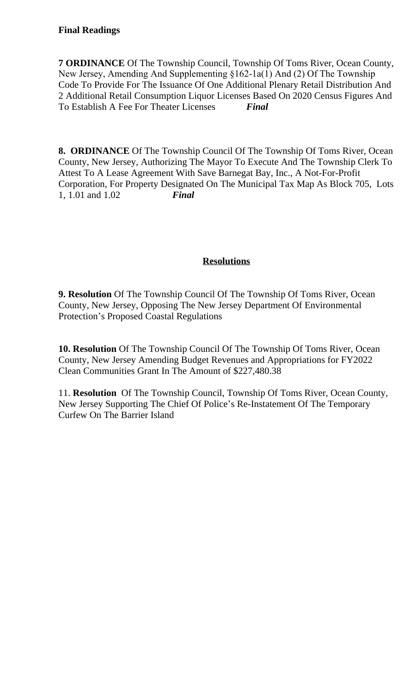# **Final Readings**

**7 ORDINANCE** Of The Township Council, Township Of Toms River, Ocean County, New Jersey, Amending And Supplementing §162-1a(1) And (2) Of The Township Code To Provide For The Issuance Of One Additional Plenary Retail Distribution And 2 Additional Retail Consumption Liquor Licenses Based On 2020 Census Figures And To Establish A Fee For Theater Licenses *Final*

**8. ORDINANCE** Of The Township Council Of The Township Of Toms River, Ocean County, New Jersey, Authorizing The Mayor To Execute And The Township Clerk To Attest To A Lease Agreement With Save Barnegat Bay, Inc., A Not-For-Profit Corporation, For Property Designated On The Municipal Tax Map As Block 705, Lots 1, 1.01 and 1.02 *Final*

# **Resolutions**

**9. Resolution** Of The Township Council Of The Township Of Toms River, Ocean County, New Jersey, Opposing The New Jersey Department Of Environmental Protection's Proposed Coastal Regulations

**10. Resolution** Of The Township Council Of The Township Of Toms River, Ocean County, New Jersey Amending Budget Revenues and Appropriations for FY2022 Clean Communities Grant In The Amount of \$227,480.38

11. **Resolution** Of The Township Council, Township Of Toms River, Ocean County, New Jersey Supporting The Chief Of Police's Re-Instatement Of The Temporary Curfew On The Barrier Island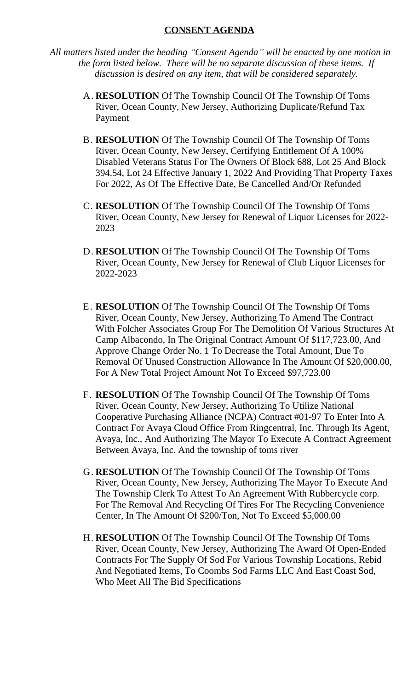## **CONSENT AGENDA**

*All matters listed under the heading "Consent Agenda" will be enacted by one motion in the form listed below. There will be no separate discussion of these items. If discussion is desired on any item, that will be considered separately.*

- A. **RESOLUTION** Of The Township Council Of The Township Of Toms River, Ocean County, New Jersey, Authorizing Duplicate/Refund Tax Payment
- B. **RESOLUTION** Of The Township Council Of The Township Of Toms River, Ocean County, New Jersey, Certifying Entitlement Of A 100% Disabled Veterans Status For The Owners Of Block 688, Lot 25 And Block 394.54, Lot 24 Effective January 1, 2022 And Providing That Property Taxes For 2022, As Of The Effective Date, Be Cancelled And/Or Refunded
- C. **RESOLUTION** Of The Township Council Of The Township Of Toms River, Ocean County, New Jersey for Renewal of Liquor Licenses for 2022- 2023
- D. **RESOLUTION** Of The Township Council Of The Township Of Toms River, Ocean County, New Jersey for Renewal of Club Liquor Licenses for 2022-2023
- E. **RESOLUTION** Of The Township Council Of The Township Of Toms River, Ocean County, New Jersey, Authorizing To Amend The Contract With Folcher Associates Group For The Demolition Of Various Structures At Camp Albacondo, In The Original Contract Amount Of \$117,723.00, And Approve Change Order No. 1 To Decrease the Total Amount, Due To Removal Of Unused Construction Allowance In The Amount Of \$20,000.00, For A New Total Project Amount Not To Exceed \$97,723.00
- F. **RESOLUTION** Of The Township Council Of The Township Of Toms River, Ocean County, New Jersey, Authorizing To Utilize National Cooperative Purchasing Alliance (NCPA) Contract #01-97 To Enter Into A Contract For Avaya Cloud Office From Ringcentral, Inc. Through Its Agent, Avaya, Inc., And Authorizing The Mayor To Execute A Contract Agreement Between Avaya, Inc. And the township of toms river
- G. **RESOLUTION** Of The Township Council Of The Township Of Toms River, Ocean County, New Jersey, Authorizing The Mayor To Execute And The Township Clerk To Attest To An Agreement With Rubbercycle corp. For The Removal And Recycling Of Tires For The Recycling Convenience Center, In The Amount Of \$200/Ton, Not To Exceed \$5,000.00
- H. **RESOLUTION** Of The Township Council Of The Township Of Toms River, Ocean County, New Jersey, Authorizing The Award Of Open-Ended Contracts For The Supply Of Sod For Various Township Locations, Rebid And Negotiated Items, To Coombs Sod Farms LLC And East Coast Sod, Who Meet All The Bid Specifications